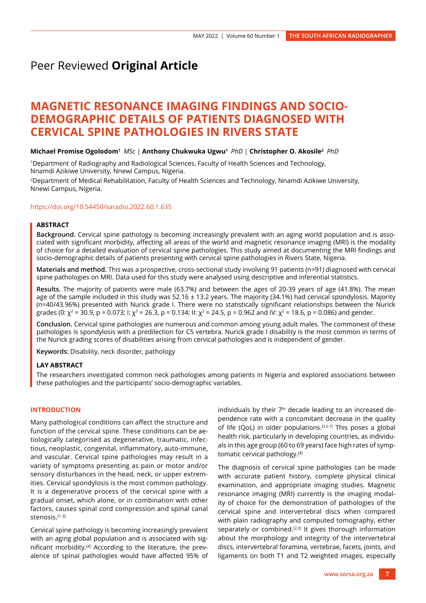# Peer Reviewed **Original Article**

# **MAGNETIC RESONANCE IMAGING FINDINGS AND SOCIO-DEMOGRAPHIC DETAILS OF PATIENTS DIAGNOSED WITH CERVICAL SPINE PATHOLOGIES IN RIVERS STATE**

#### **Michael Promise Ogolodom1** *MSc* | **Anthony Chukwuka Ugwu1** *PhD* | **Christopher O. Akosile2**  *PhD*

1Department of Radiography and Radiological Sciences, Faculty of Health Sciences and Technology, Nnamdi Azikiwe University, Nnewi Campus, Nigeria.

2Department of Medical Rehabilitation, Faculty of Health Sciences and Technology, Nnamdi Azikiwe University, Nnewi Campus, Nigeria.

#### <https://doi.org/10.54450/saradio.2022.60.1.635>

# **ABSTRACT**

**Background.** Cervical spine pathology is becoming increasingly prevalent with an aging world population and is associated with significant morbidity, affecting all areas of the world and magnetic resonance imaging (MRI) is the modality of choice for a detailed evaluation of cervical spine pathologies. This study aimed at documenting the MRI findings and socio-demographic details of patients presenting with cervical spine pathologies in Rivers State, Nigeria.

**Materials and method.** This was a prospective, cross-sectional study involving 91 patients (n=91) diagnosed with cervical spine pathologies on MRI. Data used for this study were analysed using descriptive and inferential statistics.

**Results.** The majority of patients were male (63.7%) and between the ages of 20-39 years of age (41.8%). The mean age of the sample included in this study was  $52.16 \pm 13.2$  years. The majority (34.1%) had cervical spondylosis. Majority (n=40/43.96%) presented with Nurick grade I. There were no statistically significant relationships between the Nurick grades (0:  $\chi^2$  = 30.9, p = 0.073; I:  $\chi^2$  = 26.3, p = 0.134; II:  $\chi^2$  = 24.5, p = 0.962 and IV:  $\chi^2$  = 18.6, p = 0.086) and gender.

**Conclusion.** Cervical spine pathologies are numerous and common among young adult males. The commonest of these pathologies is spondylosis with a predilection for C5 vertebra. Nurick grade I disability is the most common in terms of the Nurick grading scores of disabilities arising from cervical pathologies and is independent of gender.

**Keywords:** Disability, neck disorder, pathology

## **LAY ABSTRACT**

The researchers investigated common neck pathologies among patients in Nigeria and explored associations between these pathologies and the participants' socio-demographic variables.

# **INTRODUCTION**

Many pathological conditions can affect the structure and function of the cervical spine. These conditions can be aetiologically categorised as degenerative, traumatic, infectious, neoplastic, congenital, inflammatory, auto-immune, and vascular. Cervical spine pathologies may result in a variety of symptoms presenting as pain or motor and/or sensory disturbances in the head, neck, or upper extremities. Cervical spondylosis is the most common pathology. It is a degenerative process of the cervical spine with a gradual onset, which alone, or in combination with other factors, causes spinal cord compression and spinal canal stenosis.[1-3]

Cervical spine pathology is becoming increasingly prevalent with an aging global population and is associated with significant morbidity.[4] According to the literature, the prevalence of spinal pathologies would have affected 95% of individuals by their  $7<sup>th</sup>$  decade leading to an increased dependence rate with a concomitant decrease in the quality of life (QoL) in older populations.<sup>[3,5-7]</sup> This poses a global health risk, particularly in developing countries, as individuals in this age group (60 to 69 years) face high rates of symptomatic cervical pathology.[8]

The diagnosis of cervical spine pathologies can be made with accurate patient history, complete physical clinical examination, and appropriate imaging studies. Magnetic resonance imaging (MRI) currently is the imaging modality of choice for the demonstration of pathologies of the cervical spine and intervertebral discs when compared with plain radiography and computed tomography, either separately or combined.<sup>[2,3]</sup> It gives thorough information about the morphology and integrity of the intervertebral discs, intervertebral foramina, vertebrae, facets, joints, and ligaments on both T1 and T2 weighted images, especially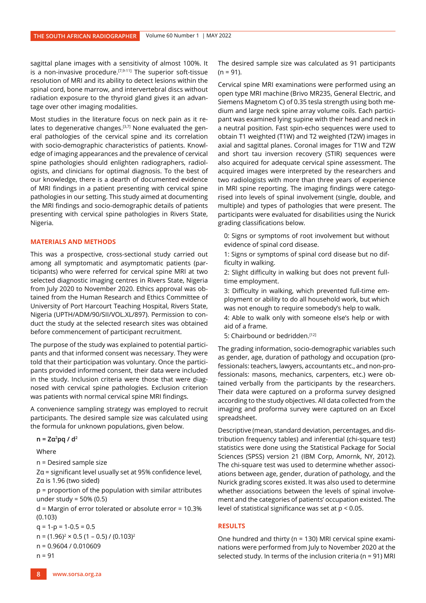sagittal plane images with a sensitivity of almost 100%. It is a non-invasive procedure. $[7,9-11]$  The superior soft-tissue resolution of MRI and its ability to detect lesions within the spinal cord, bone marrow, and intervertebral discs without radiation exposure to the thyroid gland gives it an advantage over other imaging modalities.

Most studies in the literature focus on neck pain as it relates to degenerative changes.<sup>[3,7]</sup> None evaluated the general pathologies of the cervical spine and its correlation with socio-demographic characteristics of patients. Knowledge of imaging appearances and the prevalence of cervical spine pathologies should enlighten radiographers, radiologists, and clinicians for optimal diagnosis. To the best of our knowledge, there is a dearth of documented evidence of MRI findings in a patient presenting with cervical spine pathologies in our setting. This study aimed at documenting the MRI findings and socio-demographic details of patients presenting with cervical spine pathologies in Rivers State, Nigeria.

# **MATERIALS AND METHODS**

This was a prospective, cross-sectional study carried out among all symptomatic and asymptomatic patients (participants) who were referred for cervical spine MRI at two selected diagnostic imaging centres in Rivers State, Nigeria from July 2020 to November 2020. Ethics approval was obtained from the Human Research and Ethics Committee of University of Port Harcourt Teaching Hospital, Rivers State, Nigeria (UPTH/ADM/90/SII/VOL.XL/897). Permission to conduct the study at the selected research sites was obtained before commencement of participant recruitment.

The purpose of the study was explained to potential participants and that informed consent was necessary. They were told that their participation was voluntary. Once the participants provided informed consent, their data were included in the study. Inclusion criteria were those that were diagnosed with cervical spine pathologies. Exclusion criterion was patients with normal cervical spine MRI findings.

A convenience sampling strategy was employed to recruit participants. The desired sample size was calculated using the formula for unknown populations, given below.

#### **n = Zα<sup>2</sup> pq / d2**

Where

n = Desired sample size

Zα = significant level usually set at 95% confidence level, Zα is 1.96 (two sided)

p = proportion of the population with similar attributes under study = 50% (0.5)

d = Margin of error tolerated or absolute error = 10.3% (0.103)

 $q = 1-p = 1-0.5 = 0.5$ 

 $n = (1.96)^2 \times 0.5 (1 - 0.5) / (0.103)^2$ 

n = 0.9604 / 0.010609

 $n = 91$ 

The desired sample size was calculated as 91 participants  $(n = 91)$ .

Cervical spine MRI examinations were performed using an open type MRI machine (Brivo MR235, General Electric, and Siemens Magnetom C) of 0.35 tesla strength using both medium and large neck spine array volume coils. Each participant was examined lying supine with their head and neck in a neutral position. Fast spin-echo sequences were used to obtain T1 weighted (T1W) and T2 weighted (T2W) images in axial and sagittal planes. Coronal images for T1W and T2W and short tau inversion recovery (STIR) sequences were also acquired for adequate cervical spine assessment. The acquired images were interpreted by the researchers and two radiologists with more than three years of experience in MRI spine reporting. The imaging findings were categorised into levels of spinal involvement (single, double, and multiple) and types of pathologies that were present. The participants were evaluated for disabilities using the Nurick grading classifications below.

0: Signs or symptoms of root involvement but without evidence of spinal cord disease.

1: Signs or symptoms of spinal cord disease but no difficulty in walking.

2: Slight difficulty in walking but does not prevent fulltime employment.

3: Difficulty in walking, which prevented full-time employment or ability to do all household work, but which was not enough to require somebody's help to walk.

4: Able to walk only with someone else's help or with aid of a frame.

5: Chairbound or bedridden.<sup>[12]</sup>

The grading information, socio-demographic variables such as gender, age, duration of pathology and occupation (professionals: teachers, lawyers, accountants etc., and non-professionals: masons, mechanics, carpenters, etc.) were obtained verbally from the participants by the researchers. Their data were captured on a proforma survey designed according to the study objectives. All data collected from the imaging and proforma survey were captured on an Excel spreadsheet.

Descriptive (mean, standard deviation, percentages, and distribution frequency tables) and inferential (chi-square test) statistics were done using the Statistical Package for Social Sciences (SPSS) version 21 (IBM Corp, Amornk, NY, 2012). The chi-square test was used to determine whether associations between age, gender, duration of pathology, and the Nurick grading scores existed. It was also used to determine whether associations between the levels of spinal involvement and the categories of patients' occupation existed. The level of statistical significance was set at p < 0.05.

## **RESULTS**

One hundred and thirty (n = 130) MRI cervical spine examinations were performed from July to November 2020 at the selected study. In terms of the inclusion criteria (n = 91) MRI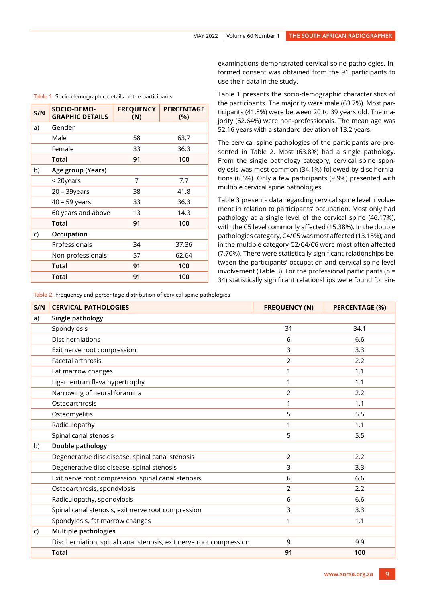| S/N | <b>SOCIO-DEMO-</b><br><b>GRAPHIC DETAILS</b> | <b>FREQUENCY</b><br>(N) | <b>PERCENTAGE</b><br>(%) |
|-----|----------------------------------------------|-------------------------|--------------------------|
| a)  | Gender                                       |                         |                          |
|     | Male                                         | 58                      | 63.7                     |
|     | Female                                       | 33                      | 36.3                     |
|     | Total                                        | 91                      | 100                      |
| b)  | Age group (Years)                            |                         |                          |
|     | < 20years                                    | 7                       | 7.7                      |
|     | 20 – 39years                                 | 38                      | 41.8                     |
|     | 40 - 59 years                                | 33                      | 36.3                     |
|     | 60 years and above                           | 13                      | 14.3                     |
|     | Total                                        | 91                      | 100                      |
| C)  | Occupation                                   |                         |                          |
|     | Professionals                                | 34                      | 37.36                    |
|     | Non-professionals                            | 57                      | 62.64                    |
|     | Total                                        | 91                      | 100                      |
|     | Total                                        | 91                      | 100                      |

Table 1. Socio-demographic details of the participants

examinations demonstrated cervical spine pathologies. Informed consent was obtained from the 91 participants to use their data in the study.

Table 1 presents the socio-demographic characteristics of the participants. The majority were male (63.7%). Most participants (41.8%) were between 20 to 39 years old. The majority (62.64%) were non-professionals. The mean age was 52.16 years with a standard deviation of 13.2 years.

The cervical spine pathologies of the participants are presented in Table 2. Most (63.8%) had a single pathology. From the single pathology category, cervical spine spondylosis was most common (34.1%) followed by disc herniations (6.6%). Only a few participants (9.9%) presented with multiple cervical spine pathologies.

Table 3 presents data regarding cervical spine level involvement in relation to participants' occupation. Most only had pathology at a single level of the cervical spine (46.17%), with the C5 level commonly affected (15.38%). In the double pathologies category, C4/C5 was most affected (13.15%); and in the multiple category C2/C4/C6 were most often affected (7.70%). There were statistically significant relationships between the participants' occupation and cervical spine level involvement (Table 3). For the professional participants ( $n =$ 34) statistically significant relationships were found for sin-

Table 2. Frequency and percentage distribution of cervical spine pathologies

| S/N | <b>CERVICAL PATHOLOGIES</b>                                         | <b>FREQUENCY (N)</b> | <b>PERCENTAGE (%)</b> |
|-----|---------------------------------------------------------------------|----------------------|-----------------------|
| a)  | Single pathology                                                    |                      |                       |
|     | Spondylosis                                                         | 31                   | 34.1                  |
|     | Disc herniations                                                    | 6                    | 6.6                   |
|     | Exit nerve root compression                                         | 3                    | 3.3                   |
|     | Facetal arthrosis                                                   | 2                    | 2.2                   |
|     | Fat marrow changes                                                  | 1                    | 1.1                   |
|     | Ligamentum flava hypertrophy                                        | 1                    | 1.1                   |
|     | Narrowing of neural foramina                                        | $\overline{2}$       | 2.2                   |
|     | Osteoarthrosis                                                      | 1                    | 1.1                   |
|     | Osteomyelitis                                                       | 5                    | 5.5                   |
|     | Radiculopathy                                                       | 1                    | 1.1                   |
|     | Spinal canal stenosis                                               | 5                    | 5.5                   |
| b)  | Double pathology                                                    |                      |                       |
|     | Degenerative disc disease, spinal canal stenosis                    | $\overline{2}$       | 2.2                   |
|     | Degenerative disc disease, spinal stenosis                          | 3                    | 3.3                   |
|     | Exit nerve root compression, spinal canal stenosis                  | 6                    | 6.6                   |
|     | Osteoarthrosis, spondylosis                                         | $\overline{2}$       | 2.2                   |
|     | Radiculopathy, spondylosis                                          | 6                    | 6.6                   |
|     | Spinal canal stenosis, exit nerve root compression                  | 3                    | 3.3                   |
|     | Spondylosis, fat marrow changes                                     | 1                    | 1.1                   |
| C)  | <b>Multiple pathologies</b>                                         |                      |                       |
|     | Disc herniation, spinal canal stenosis, exit nerve root compression | 9                    | 9.9                   |
|     | <b>Total</b>                                                        | 91                   | 100                   |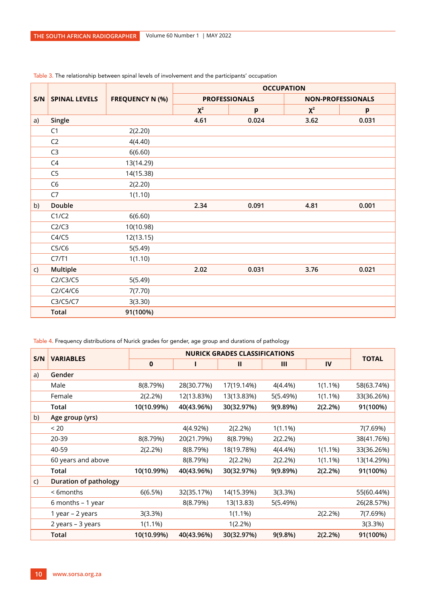|     |                      |                        | <b>OCCUPATION</b> |                      |                          |       |
|-----|----------------------|------------------------|-------------------|----------------------|--------------------------|-------|
| S/N | <b>SPINAL LEVELS</b> | <b>FREQUENCY N (%)</b> |                   | <b>PROFESSIONALS</b> | <b>NON-PROFESSIONALS</b> |       |
|     |                      |                        | $\chi^2$          | p                    | $\chi^2$                 | p     |
| a)  | Single               |                        | 4.61              | 0.024                | 3.62                     | 0.031 |
|     | C1                   | 2(2.20)                |                   |                      |                          |       |
|     | C <sub>2</sub>       | 4(4.40)                |                   |                      |                          |       |
|     | C <sub>3</sub>       | 6(6.60)                |                   |                      |                          |       |
|     | C4                   | 13(14.29)              |                   |                      |                          |       |
|     | C <sub>5</sub>       | 14(15.38)              |                   |                      |                          |       |
|     | C <sub>6</sub>       | 2(2.20)                |                   |                      |                          |       |
|     | C7                   | 1(1.10)                |                   |                      |                          |       |
| b)  | Double               |                        | 2.34              | 0.091                | 4.81                     | 0.001 |
|     | C1/C2                | 6(6.60)                |                   |                      |                          |       |
|     | C2/C3                | 10(10.98)              |                   |                      |                          |       |
|     | C4/C5                | 12(13.15)              |                   |                      |                          |       |
|     | C5/C6                | 5(5.49)                |                   |                      |                          |       |
|     | C7/T1                | 1(1.10)                |                   |                      |                          |       |
| C)  | Multiple             |                        | 2.02              | 0.031                | 3.76                     | 0.021 |
|     | C2/C3/C5             | 5(5.49)                |                   |                      |                          |       |
|     | C2/C4/C6             | 7(7.70)                |                   |                      |                          |       |
|     | C3/C5/C7             | 3(3.30)                |                   |                      |                          |       |
|     | <b>Total</b>         | 91(100%)               |                   |                      |                          |       |

# Table 3. The relationship between spinal levels of involvement and the participants' occupation

Table 4. Frequency distributions of Nurick grades for gender, age group and durations of pathology

| S/N | <b>VARIABLES</b>             | <b>NURICK GRADES CLASSIFICATIONS</b> |            |              |            |            |              |
|-----|------------------------------|--------------------------------------|------------|--------------|------------|------------|--------------|
|     |                              | 0                                    |            | $\mathbf{H}$ | Ш          | IV         | <b>TOTAL</b> |
| a)  | Gender                       |                                      |            |              |            |            |              |
|     | Male                         | 8(8.79%)                             | 28(30.77%) | 17(19.14%)   | 4(4.4%)    | $1(1.1\%)$ | 58(63.74%)   |
|     | Female                       | 2(2.2%)                              | 12(13.83%) | 13(13.83%)   | 5(5.49%)   | $1(1.1\%)$ | 33(36.26%)   |
|     | Total                        | 10(10.99%)                           | 40(43.96%) | 30(32.97%)   | 9(9.89%)   | 2(2.2%)    | 91(100%)     |
| b)  | Age group (yrs)              |                                      |            |              |            |            |              |
|     | < 20                         |                                      | 4(4.92%)   | 2(2.2%)      | $1(1.1\%)$ |            | 7(7.69%)     |
|     | 20-39                        | 8(8.79%)                             | 20(21.79%) | 8(8.79%)     | 2(2.2%)    |            | 38(41.76%)   |
|     | 40-59                        | 2(2.2%)                              | 8(8.79%)   | 18(19.78%)   | 4(4.4%)    | $1(1.1\%)$ | 33(36.26%)   |
|     | 60 years and above           |                                      | 8(8.79%)   | 2(2.2%)      | 2(2.2%)    | $1(1.1\%)$ | 13(14.29%)   |
|     | Total                        | 10(10.99%)                           | 40(43.96%) | 30(32.97%)   | 9(9.89%)   | 2(2.2%)    | 91(100%)     |
| C)  | <b>Duration of pathology</b> |                                      |            |              |            |            |              |
|     | < 6 months                   | 6(6.5%)                              | 32(35.17%) | 14(15.39%)   | 3(3.3%)    |            | 55(60.44%)   |
|     | 6 months - 1 year            |                                      | 8(8.79%)   | 13(13.83)    | 5(5.49%)   |            | 26(28.57%)   |
|     | 1 year – 2 years             | 3(3.3%)                              |            | $1(1.1\%)$   |            | 2(2.2%)    | 7(7.69%)     |
|     | 2 years - 3 years            | $1(1.1\%)$                           |            | 1(2.2%)      |            |            | 3(3.3%)      |
|     | Total                        | 10(10.99%)                           | 40(43.96%) | 30(32.97%)   | 9(9.8%)    | 2(2.2%)    | 91(100%)     |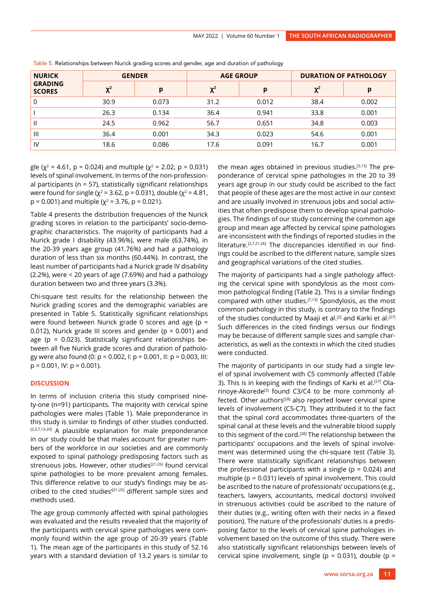| <b>NURICK</b>                   | <b>GENDER</b> |       | <b>AGE GROUP</b> |       | <b>DURATION OF PATHOLOGY</b> |       |
|---------------------------------|---------------|-------|------------------|-------|------------------------------|-------|
| <b>GRADING</b><br><b>SCORES</b> | $\chi^2$      | p     | $\chi^2$         | р     | $\chi^2$                     | р     |
| $\mathbf 0$                     | 30.9          | 0.073 | 31.2             | 0.012 | 38.4                         | 0.002 |
|                                 | 26.3          | 0.134 | 36.4             | 0.941 | 33.8                         | 0.001 |
| $\mathbf{H}$                    | 24.5          | 0.962 | 56.7             | 0.651 | 34.8                         | 0.003 |
| $\mathbf{III}$                  | 36.4          | 0.001 | 34.3             | 0.023 | 54.6                         | 0.001 |
| <b>IV</b>                       | 18.6          | 0.086 | 17.6             | 0.091 | 16.7                         | 0.001 |

Table 5. Relationships between Nurick grading scores and gender, age and duration of pathology

gle ( $\chi^2$  = 4.61, p = 0.024) and multiple ( $\chi^2$  = 2.02, p = 0.031) levels of spinal involvement. In terms of the non-professional participants (n = 57), statistically significant relationships were found for single ( $χ² = 3.62$ , p = 0.031), double ( $χ² = 4.81$ ,  $p = 0.001$ ) and multiple ( $\chi^2 = 3.76$ ,  $p = 0.021$ ).

Table 4 presents the distribution frequencies of the Nurick grading scores in relation to the participants' socio-demographic characteristics. The majority of participants had a Nurick grade I disability (43.96%), were male (63.74%), in the 20-39 years age group (41.76%) and had a pathology duration of less than six months (60.44%). In contrast, the least number of participants had a Nurick grade IV disability (2.2%), were < 20 years of age (7.69%) and had a pathology duration between two and three years (3.3%).

Chi-square test results for the relationship between the Nurick grading scores and the demographic variables are presented in Table 5. Statistically significant relationships were found between Nurick grade 0 scores and age (p = 0.012), Nurick grade III scores and gender ( $p = 0.001$ ) and age ( $p = 0.023$ ). Statistically significant relationships between all five Nurick grade scores and duration of pathology were also found (0: p = 0.002, I: p = 0.001, II: p = 0.003, III:  $p = 0.001$ , IV:  $p = 0.001$ ).

# **DISCUSSION**

In terms of inclusion criteria this study comprised ninety-one (n=91) participants. The majority with cervical spine pathologies were males (Table 1). Male preponderance in this study is similar to findings of other studies conducted. [2,3,7,13-20] A plausible explanation for male preponderance in our study could be that males account for greater numbers of the workforce in our societies and are commonly exposed to spinal pathology predisposing factors such as strenuous jobs. However, other studies<sup>[21-25]</sup> found cervical spine pathologies to be more prevalent among females. This difference relative to our study's findings may be ascribed to the cited studies<sup>'[21-25]</sup> different sample sizes and methods used.

The age group commonly affected with spinal pathologies was evaluated and the results revealed that the majority of the participants with cervical spine pathologies were commonly found within the age group of 20-39 years (Table 1). The mean age of the participants in this study of 52.16 years with a standard deviation of 13.2 years is similar to

the mean ages obtained in previous studies.[3,13] The preponderance of cervical spine pathologies in the 20 to 39 years age group in our study could be ascribed to the fact that people of these ages are the most active in our context and are usually involved in strenuous jobs and social activities that often predispose them to develop spinal pathologies. The findings of our study concerning the common age group and mean age affected by cervical spine pathologies are inconsistent with the findings of reported studies in the literature.[2,7,21,26] The discrepancies identified in our findings could be ascribed to the different nature, sample sizes and geographical variations of the cited studies.

The majority of participants had a single pathology affecting the cervical spine with spondylosis as the most common pathological finding (Table 2). This is a similar findings compared with other studies.[7,13] Spondylosis, as the most common pathology in this study, is contrary to the findings of the studies conducted by Maaji et al.<sup>[2]</sup> and Karki et al.<sup>[27]</sup> Such differences in the cited findings versus our findings may be because of different sample sizes and sample characteristics, as well as the contexts in which the cited studies were conducted.

The majority of participants in our study had a single level of spinal involvement with C5 commonly affected (Table 3). This is in keeping with the findings of Karki et al.<sup>[27]</sup> Olarinoye-Akorede<sup>[3]</sup> found C3/C4 to be more commonly affected. Other authors<sup>[28]</sup> also reported lower cervical spine levels of involvement (C5-C7). They attributed it to the fact that the spinal cord accommodates three-quarters of the spinal canal at these levels and the vulnerable blood supply to this segment of the cord.<sup>[28]</sup> The relationship between the participants' occupations and the levels of spinal involvement was determined using the chi-square test (Table 3). There were statistically significant relationships between the professional participants with a single ( $p = 0.024$ ) and multiple (p = 0.031) levels of spinal involvement. This could be ascribed to the nature of professionals' occupations (e.g., teachers, lawyers, accountants, medical doctors) involved in strenuous activities could be ascribed to the nature of their duties (e.g., writing often with their necks in a flexed position). The nature of the professionals' duties is a predisposing factor to the levels of cervical spine pathologies involvement based on the outcome of this study. There were also statistically significant relationships between levels of cervical spine involvement, single ( $p = 0.031$ ), double ( $p = 0.031$ )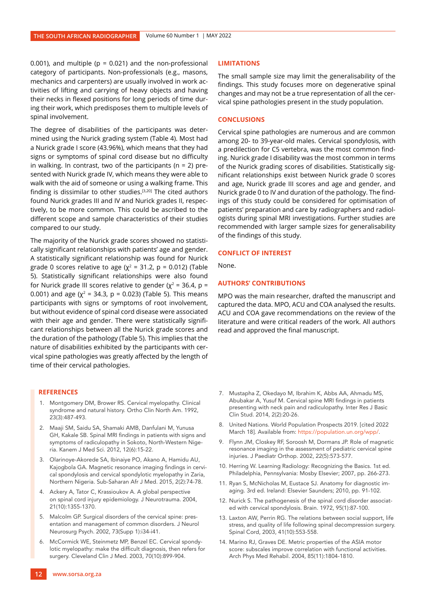0.001), and multiple ( $p = 0.021$ ) and the non-professional category of participants. Non-professionals (e.g., masons, mechanics and carpenters) are usually involved in work activities of lifting and carrying of heavy objects and having their necks in flexed positions for long periods of time during their work, which predisposes them to multiple levels of spinal involvement.

The degree of disabilities of the participants was determined using the Nurick grading system (Table 4). Most had a Nurick grade I score (43.96%), which means that they had signs or symptoms of spinal cord disease but no difficulty in walking. In contrast, two of the participants ( $n = 2$ ) presented with Nurick grade IV, which means they were able to walk with the aid of someone or using a walking frame. This finding is dissimilar to other studies.[3,20] The cited authors found Nurick grades III and IV and Nurick grades II, respectively, to be more common. This could be ascribed to the different scope and sample characteristics of their studies compared to our study.

The majority of the Nurick grade scores showed no statistically significant relationships with patients' age and gender. A statistically significant relationship was found for Nurick grade 0 scores relative to age ( $\chi^2$  = 31.2, p = 0.012) (Table 5). Statistically significant relationships were also found for Nurick grade III scores relative to gender ( $\chi^2$  = 36.4, p = 0.001) and age ( $\chi^2$  = 34.3, p = 0.023) (Table 5). This means participants with signs or symptoms of root involvement, but without evidence of spinal cord disease were associated with their age and gender. There were statistically significant relationships between all the Nurick grade scores and the duration of the pathology (Table 5). This implies that the nature of disabilities exhibited by the participants with cervical spine pathologies was greatly affected by the length of time of their cervical pathologies.

# **REFERENCES**

- 1. Montgomery DM, Brower RS. Cervical myelopathy. Clinical syndrome and natural history. Ortho Clin North Am. 1992, 23(3):487-493.
- 2. Maaji SM, Saidu SA, Shamaki AMB, Danfulani M, Yunusa GH, Kakale SB. Spinal MRI findings in patients with signs and symptoms of radiculopathy in Sokoto, North-Western Nigeria. Kanem J Med Sci. 2012, 12(6):15-22.
- 3. Olarinoye-Akorede SA, Ibinaiye PO, Akano A, Hamidu AU, Kajogbola GA. Magnetic resonance imaging findings in cervical spondylosis and cervical spondylotic myelopathy in Zaria, Northern Nigeria. Sub-Saharan Afr J Med. 2015, 2(2):74-78.
- 4. Ackery A, Tator C, Krassioukov A. A global perspective on spinal cord injury epidemiology. J Neurotrauma. 2004, 21(10):1355-1370.
- 5. Malcolm GP. Surgical disorders of the cervical spine: presentation and management of common disorders. J Neurol Neurosurg Psych. 2002, 73(Supp 1):i34-i41.
- 6. McCormick WE, Steinmetz MP, Benzel EC. Cervical spondylotic myelopathy: make the difficult diagnosis, then refers for surgery. Cleveland Clin J Med. 2003, 70(10):899-904.

#### **LIMITATIONS**

The small sample size may limit the generalisability of the findings. This study focuses more on degenerative spinal changes and may not be a true representation of all the cervical spine pathologies present in the study population.

## **CONCLUSIONS**

Cervical spine pathologies are numerous and are common among 20- to 39-year-old males. Cervical spondylosis, with a predilection for C5 vertebra, was the most common finding. Nurick grade I disability was the most common in terms of the Nurick grading scores of disabilities. Statistically significant relationships exist between Nurick grade 0 scores and age, Nurick grade III scores and age and gender, and Nurick grade 0 to IV and duration of the pathology. The findings of this study could be considered for optimisation of patients' preparation and care by radiographers and radiologists during spinal MRI investigations. Further studies are recommended with larger sample sizes for generalisability of the findings of this study.

#### **CONFLICT OF INTEREST**

None.

## **AUTHORS' CONTRIBUTIONS**

MPO was the main researcher, drafted the manuscript and captured the data. MPO, ACU and COA analysed the results. ACU and COA gave recommendations on the review of the literature and were critical readers of the work. All authors read and approved the final manuscript.

- 7. Mustapha Z, Okedayo M, Ibrahim K, Abbs AA, Ahmadu MS, Abubakar A, Yusuf M. Cervical spine MRI findings in patients presenting with neck pain and radiculopathy. Inter Res J Basic Clin Stud. 2014, 2(2):20-26.
- 8. United Nations. World Population Prospects 2019. [cited 2022 March 18]. Available from: https://population.un.org/wpp/.
- 9. Flynn JM, Closkey RF, Soroosh M, Dormans JP. Role of magnetic resonance imaging in the assessment of pediatric cervical spine injuries. J Paediatr Orthop. 2002, 22(5):573-577.
- 10. Herring W. Learning Radiology: Recognizing the Basics. 1st ed. Philadelphia, Pennsylvania: Mosby Elsevier; 2007, pp. 266-273.
- 11. Ryan S, McNicholas M, Eustace SJ. Anatomy for diagnostic imaging. 3rd ed. Ireland: Elsevier Saunders; 2010, pp. 91-102.
- 12. Nurick S. The pathogenesis of the spinal cord disorder associated with cervical spondylosis. Brain. 1972, 95(1):87-100.
- 13. Laxton AW, Perrin RG. The relations between social support, life stress, and quality of life following spinal decompression surgery. Spinal Cord, 2003, 41(10):553-558.
- 14. Marino RJ, Graves DE. Metric properties of the ASIA motor score: subscales improve correlation with functional activities. Arch Phys Med Rehabil. 2004, 85(11):1804-1810.